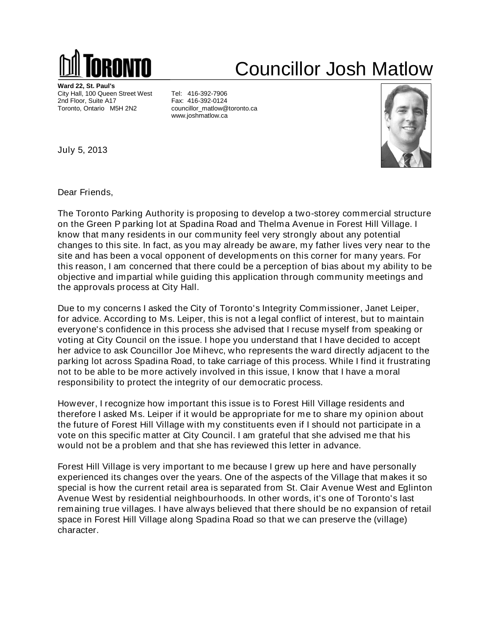

## Councillor Josh Matlow

**Ward 22, St. Paul's** City Hall, 100 Queen Street West Tel: 416-392-7906 2nd Floor, Suite A17 Fax: 416-392-0124<br>Toronto. Ontario M5H 2N2 Fax: 416-392-0124

councillor\_matlow@toronto.ca www.joshmatlow.ca



July 5, 2013

Dear Friends,

The Toronto Parking Authority is proposing to develop a two-storey commercial structure on the Green P parking lot at Spadina Road and Thelma Avenue in Forest Hill Village. I know that many residents in our community feel very strongly about any potential changes to this site. In fact, as you may already be aware, my father lives very near to the site and has been a vocal opponent of developments on this corner for many years. For this reason, I am concerned that there could be a perception of bias about my ability to be objective and impartial while guiding this application through community meetings and the approvals process at City Hall.

Due to my concerns I asked the City of Toronto's Integrity Commissioner, Janet Leiper, for advice. According to Ms. Leiper, this is not a legal conflict of interest, but to maintain everyone's confidence in this process she advised that I recuse myself from speaking or voting at City Council on the issue. I hope you understand that I have decided to accept her advice to ask Councillor Joe Mihevc, who represents the ward directly adjacent to the parking lot across Spadina Road, to take carriage of this process. While I find it frustrating not to be able to be more actively involved in this issue, I know that I have a moral responsibility to protect the integrity of our democratic process.

However, I recognize how important this issue is to Forest Hill Village residents and therefore I asked Ms. Leiper if it would be appropriate for me to share my opinion about the future of Forest Hill Village with my constituents even if I should not participate in a vote on this specific matter at City Council. I am grateful that she advised me that his would not be a problem and that she has reviewed this letter in advance.

Forest Hill Village is very important to me because I grew up here and have personally experienced its changes over the years. One of the aspects of the Village that makes it so special is how the current retail area is separated from St. Clair Avenue West and Eglinton Avenue West by residential neighbourhoods. In other words, it's one of Toronto's last remaining true villages. I have always believed that there should be no expansion of retail space in Forest Hill Village along Spadina Road so that we can preserve the (village) character.